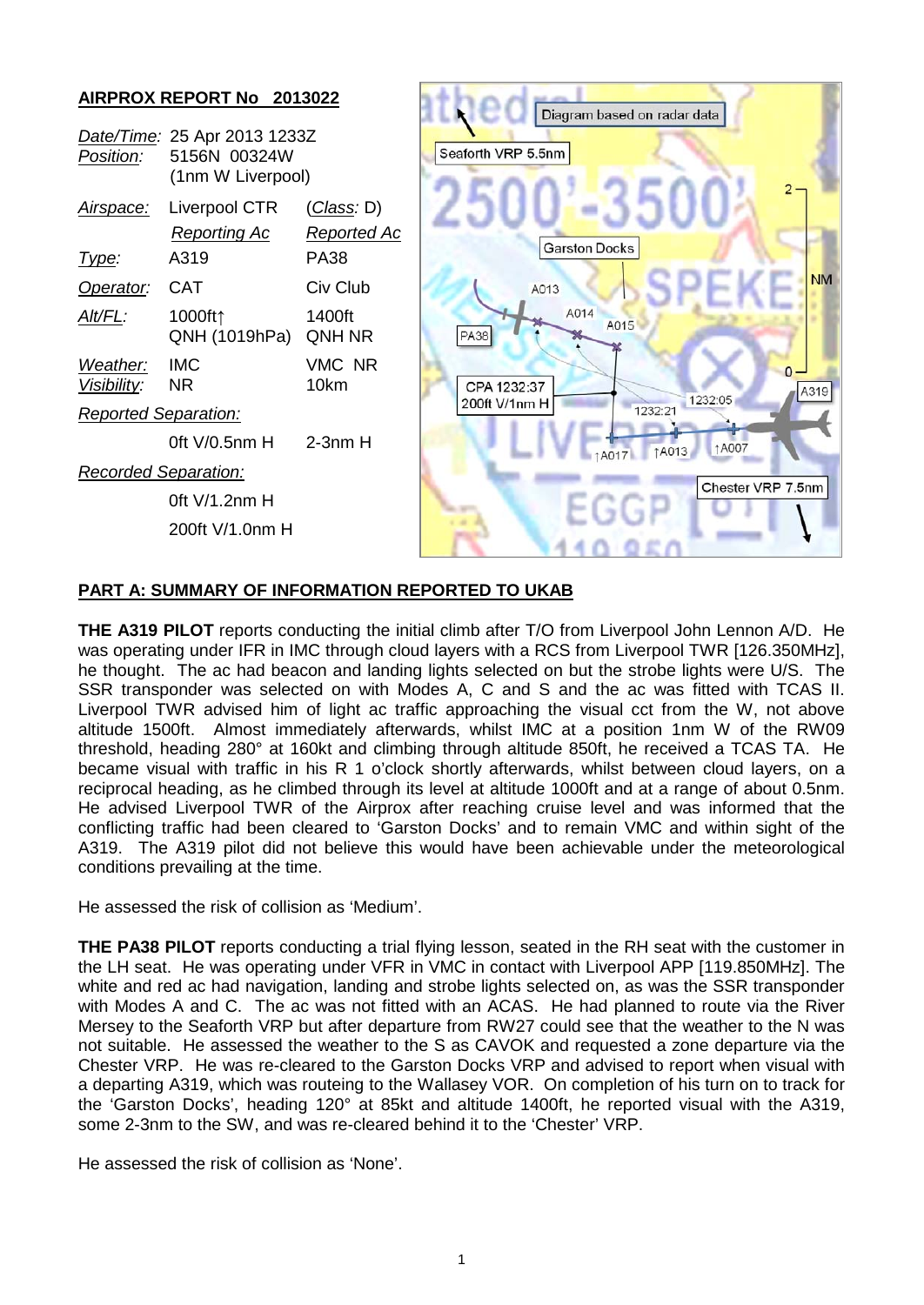

#### **PART A: SUMMARY OF INFORMATION REPORTED TO UKAB**

**THE A319 PILOT** reports conducting the initial climb after T/O from Liverpool John Lennon A/D. He was operating under IFR in IMC through cloud layers with a RCS from Liverpool TWR [126.350MHz], he thought. The ac had beacon and landing lights selected on but the strobe lights were U/S. The SSR transponder was selected on with Modes A, C and S and the ac was fitted with TCAS II. Liverpool TWR advised him of light ac traffic approaching the visual cct from the W, not above altitude 1500ft. Almost immediately afterwards, whilst IMC at a position 1nm W of the RW09 threshold, heading 280° at 160kt and climbing through altitude 850ft, he received a TCAS TA. He became visual with traffic in his R 1 o'clock shortly afterwards, whilst between cloud layers, on a reciprocal heading, as he climbed through its level at altitude 1000ft and at a range of about 0.5nm. He advised Liverpool TWR of the Airprox after reaching cruise level and was informed that the conflicting traffic had been cleared to 'Garston Docks' and to remain VMC and within sight of the A319. The A319 pilot did not believe this would have been achievable under the meteorological conditions prevailing at the time.

He assessed the risk of collision as 'Medium'.

**THE PA38 PILOT** reports conducting a trial flying lesson, seated in the RH seat with the customer in the LH seat. He was operating under VFR in VMC in contact with Liverpool APP [119.850MHz]. The white and red ac had navigation, landing and strobe lights selected on, as was the SSR transponder with Modes A and C. The ac was not fitted with an ACAS. He had planned to route via the River Mersey to the Seaforth VRP but after departure from RW27 could see that the weather to the N was not suitable. He assessed the weather to the S as CAVOK and requested a zone departure via the Chester VRP. He was re-cleared to the Garston Docks VRP and advised to report when visual with a departing A319, which was routeing to the Wallasey VOR. On completion of his turn on to track for the 'Garston Docks', heading 120° at 85kt and altitude 1400ft, he reported visual with the A319, some 2-3nm to the SW, and was re-cleared behind it to the 'Chester' VRP.

He assessed the risk of collision as 'None'.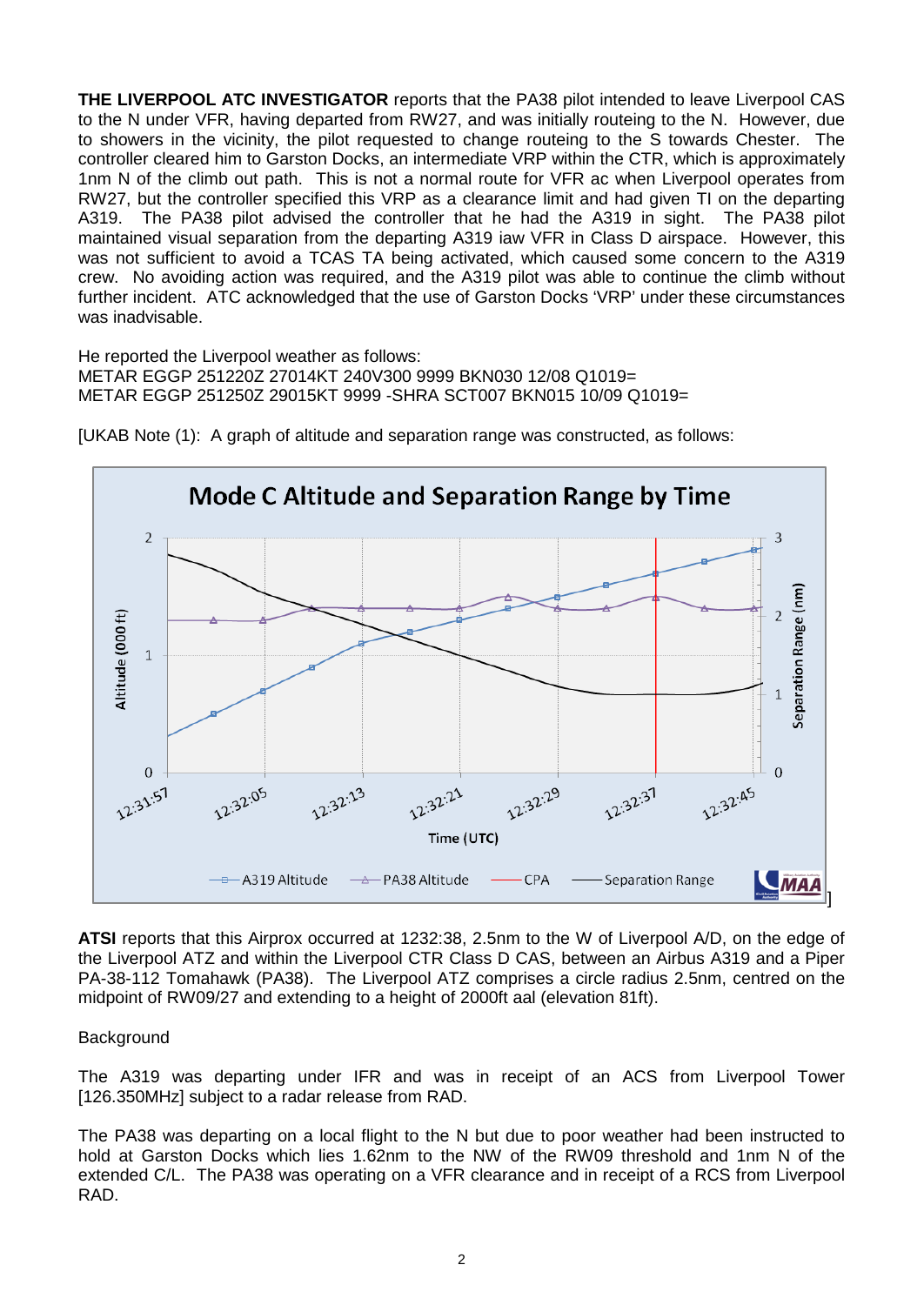**THE LIVERPOOL ATC INVESTIGATOR** reports that the PA38 pilot intended to leave Liverpool CAS to the N under VFR, having departed from RW27, and was initially routeing to the N. However, due to showers in the vicinity, the pilot requested to change routeing to the S towards Chester. The controller cleared him to Garston Docks, an intermediate VRP within the CTR, which is approximately 1nm N of the climb out path. This is not a normal route for VFR ac when Liverpool operates from RW27, but the controller specified this VRP as a clearance limit and had given TI on the departing A319. The PA38 pilot advised the controller that he had the A319 in sight. The PA38 pilot maintained visual separation from the departing A319 iaw VFR in Class D airspace. However, this was not sufficient to avoid a TCAS TA being activated, which caused some concern to the A319 crew. No avoiding action was required, and the A319 pilot was able to continue the climb without further incident. ATC acknowledged that the use of Garston Docks 'VRP' under these circumstances was inadvisable.

He reported the Liverpool weather as follows: METAR EGGP 251220Z 27014KT 240V300 9999 BKN030 12/08 Q1019= METAR EGGP 251250Z 29015KT 9999 -SHRA SCT007 BKN015 10/09 Q1019=



[UKAB Note (1): A graph of altitude and separation range was constructed, as follows:

**ATSI** reports that this Airprox occurred at 1232:38, 2.5nm to the W of Liverpool A/D, on the edge of the Liverpool ATZ and within the Liverpool CTR Class D CAS, between an Airbus A319 and a Piper PA-38-112 Tomahawk (PA38). The Liverpool ATZ comprises a circle radius 2.5nm, centred on the midpoint of RW09/27 and extending to a height of 2000ft aal (elevation 81ft).

#### **Background**

The A319 was departing under IFR and was in receipt of an ACS from Liverpool Tower [126.350MHz] subject to a radar release from RAD.

The PA38 was departing on a local flight to the N but due to poor weather had been instructed to hold at Garston Docks which lies 1.62nm to the NW of the RW09 threshold and 1nm N of the extended C/L. The PA38 was operating on a VFR clearance and in receipt of a RCS from Liverpool RAD.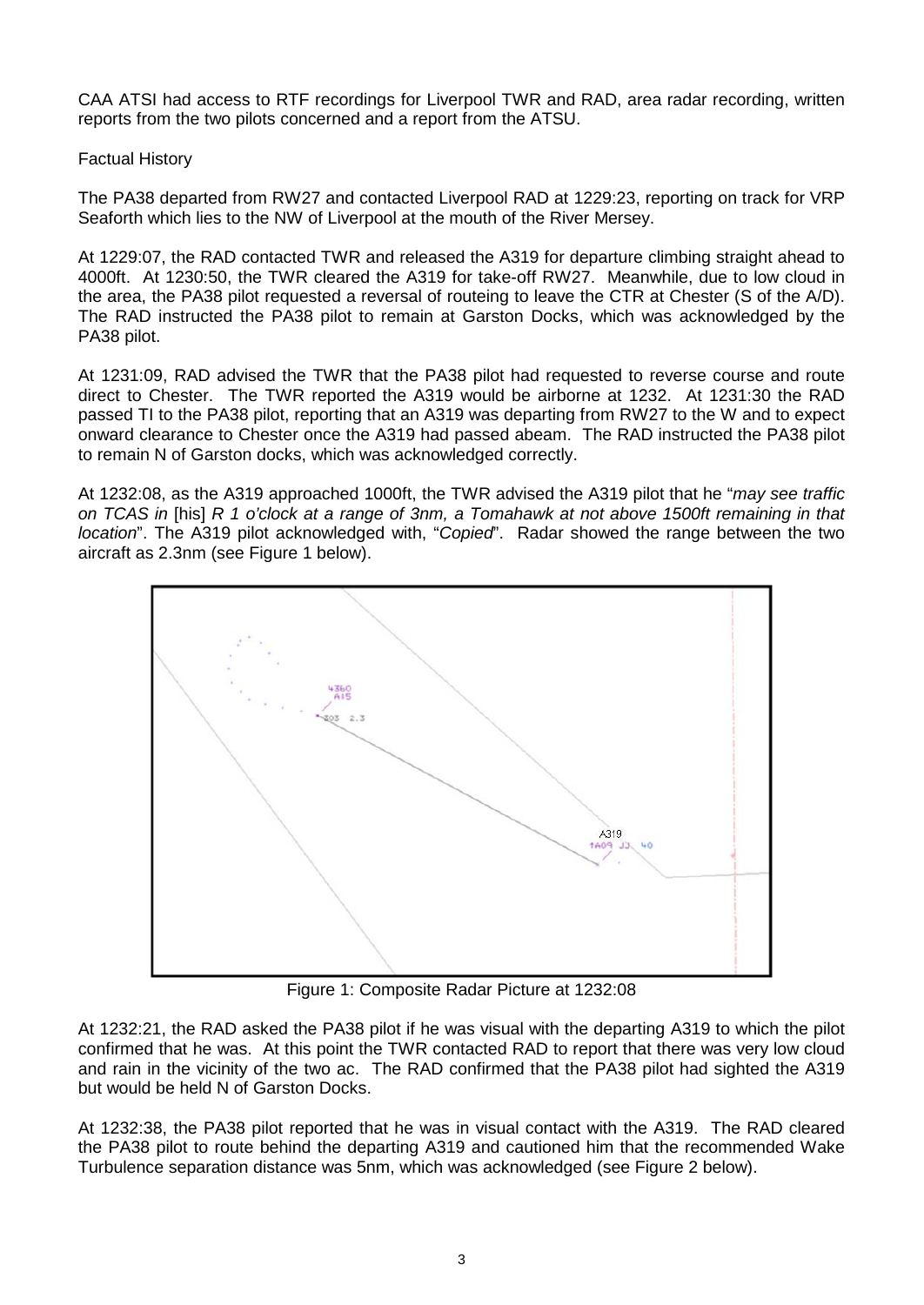CAA ATSI had access to RTF recordings for Liverpool TWR and RAD, area radar recording, written reports from the two pilots concerned and a report from the ATSU.

#### Factual History

The PA38 departed from RW27 and contacted Liverpool RAD at 1229:23, reporting on track for VRP Seaforth which lies to the NW of Liverpool at the mouth of the River Mersey.

At 1229:07, the RAD contacted TWR and released the A319 for departure climbing straight ahead to 4000ft. At 1230:50, the TWR cleared the A319 for take-off RW27. Meanwhile, due to low cloud in the area, the PA38 pilot requested a reversal of routeing to leave the CTR at Chester (S of the A/D). The RAD instructed the PA38 pilot to remain at Garston Docks, which was acknowledged by the PA38 pilot.

At 1231:09, RAD advised the TWR that the PA38 pilot had requested to reverse course and route direct to Chester. The TWR reported the A319 would be airborne at 1232. At 1231:30 the RAD passed TI to the PA38 pilot, reporting that an A319 was departing from RW27 to the W and to expect onward clearance to Chester once the A319 had passed abeam. The RAD instructed the PA38 pilot to remain N of Garston docks, which was acknowledged correctly.

At 1232:08, as the A319 approached 1000ft, the TWR advised the A319 pilot that he "*may see traffic on TCAS in* [his] *R 1 o'clock at a range of 3nm, a Tomahawk at not above 1500ft remaining in that location*". The A319 pilot acknowledged with, "*Copied*". Radar showed the range between the two aircraft as 2.3nm (see Figure 1 below).



Figure 1: Composite Radar Picture at 1232:08

At 1232:21, the RAD asked the PA38 pilot if he was visual with the departing A319 to which the pilot confirmed that he was. At this point the TWR contacted RAD to report that there was very low cloud and rain in the vicinity of the two ac. The RAD confirmed that the PA38 pilot had sighted the A319 but would be held N of Garston Docks.

At 1232:38, the PA38 pilot reported that he was in visual contact with the A319. The RAD cleared the PA38 pilot to route behind the departing A319 and cautioned him that the recommended Wake Turbulence separation distance was 5nm, which was acknowledged (see Figure 2 below).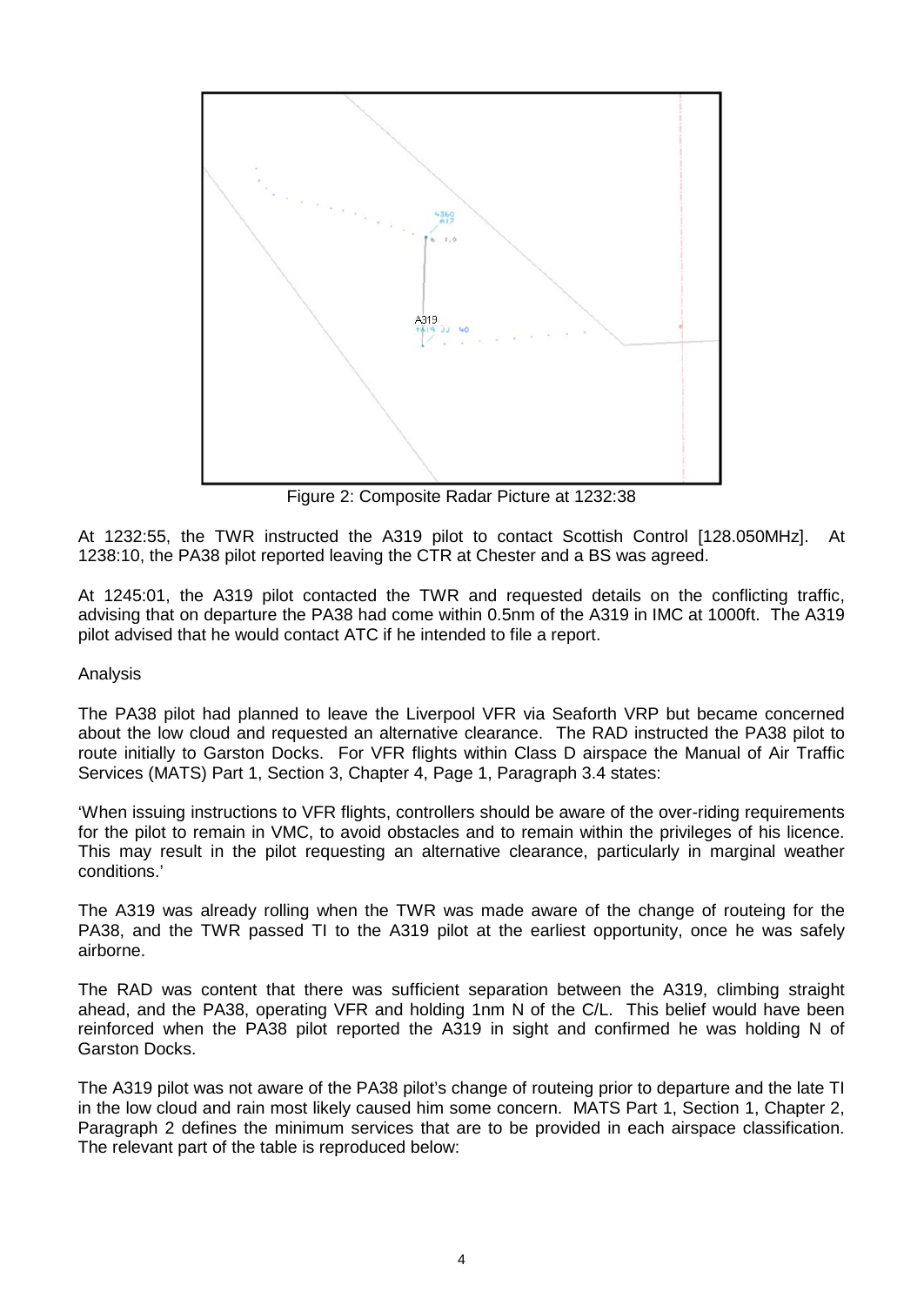

Figure 2: Composite Radar Picture at 1232:38

At 1232:55, the TWR instructed the A319 pilot to contact Scottish Control [128.050MHz]. At 1238:10, the PA38 pilot reported leaving the CTR at Chester and a BS was agreed.

At 1245:01, the A319 pilot contacted the TWR and requested details on the conflicting traffic, advising that on departure the PA38 had come within 0.5nm of the A319 in IMC at 1000ft. The A319 pilot advised that he would contact ATC if he intended to file a report.

#### Analysis

The PA38 pilot had planned to leave the Liverpool VFR via Seaforth VRP but became concerned about the low cloud and requested an alternative clearance. The RAD instructed the PA38 pilot to route initially to Garston Docks. For VFR flights within Class D airspace the Manual of Air Traffic Services (MATS) Part 1, Section 3, Chapter 4, Page 1, Paragraph 3.4 states:

'When issuing instructions to VFR flights, controllers should be aware of the over-riding requirements for the pilot to remain in VMC, to avoid obstacles and to remain within the privileges of his licence. This may result in the pilot requesting an alternative clearance, particularly in marginal weather conditions.'

The A319 was already rolling when the TWR was made aware of the change of routeing for the PA38, and the TWR passed TI to the A319 pilot at the earliest opportunity, once he was safely airborne.

The RAD was content that there was sufficient separation between the A319, climbing straight ahead, and the PA38, operating VFR and holding 1nm N of the C/L. This belief would have been reinforced when the PA38 pilot reported the A319 in sight and confirmed he was holding N of Garston Docks.

The A319 pilot was not aware of the PA38 pilot's change of routeing prior to departure and the late TI in the low cloud and rain most likely caused him some concern. MATS Part 1, Section 1, Chapter 2, Paragraph 2 defines the minimum services that are to be provided in each airspace classification. The relevant part of the table is reproduced below: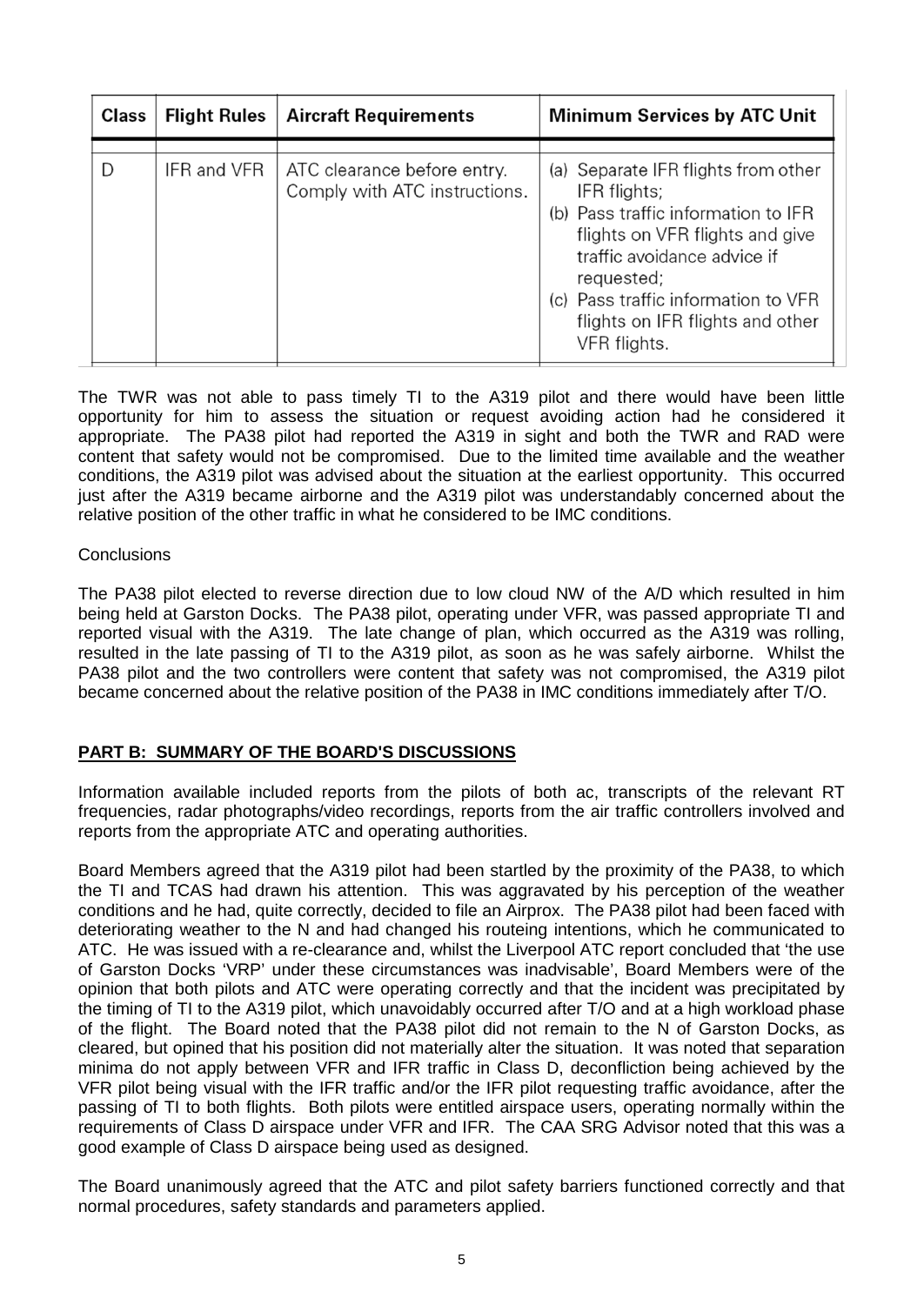| Class | <b>Flight Rules</b> | <b>Aircraft Requirements</b>                                 | <b>Minimum Services by ATC Unit</b>                                                                                                                                                                                                                                   |
|-------|---------------------|--------------------------------------------------------------|-----------------------------------------------------------------------------------------------------------------------------------------------------------------------------------------------------------------------------------------------------------------------|
| D     | IFR and VFR         | ATC clearance before entry.<br>Comply with ATC instructions. | (a) Separate IFR flights from other<br>IFR flights;<br>(b) Pass traffic information to IFR<br>flights on VFR flights and give<br>traffic avoidance advice if<br>requested;<br>(c) Pass traffic information to VFR<br>flights on IFR flights and other<br>VFR flights. |

The TWR was not able to pass timely TI to the A319 pilot and there would have been little opportunity for him to assess the situation or request avoiding action had he considered it appropriate. The PA38 pilot had reported the A319 in sight and both the TWR and RAD were content that safety would not be compromised. Due to the limited time available and the weather conditions, the A319 pilot was advised about the situation at the earliest opportunity. This occurred just after the A319 became airborne and the A319 pilot was understandably concerned about the relative position of the other traffic in what he considered to be IMC conditions.

### **Conclusions**

The PA38 pilot elected to reverse direction due to low cloud NW of the A/D which resulted in him being held at Garston Docks. The PA38 pilot, operating under VFR, was passed appropriate TI and reported visual with the A319. The late change of plan, which occurred as the A319 was rolling, resulted in the late passing of TI to the A319 pilot, as soon as he was safely airborne. Whilst the PA38 pilot and the two controllers were content that safety was not compromised, the A319 pilot became concerned about the relative position of the PA38 in IMC conditions immediately after T/O.

## **PART B: SUMMARY OF THE BOARD'S DISCUSSIONS**

Information available included reports from the pilots of both ac, transcripts of the relevant RT frequencies, radar photographs/video recordings, reports from the air traffic controllers involved and reports from the appropriate ATC and operating authorities.

Board Members agreed that the A319 pilot had been startled by the proximity of the PA38, to which the TI and TCAS had drawn his attention. This was aggravated by his perception of the weather conditions and he had, quite correctly, decided to file an Airprox. The PA38 pilot had been faced with deteriorating weather to the N and had changed his routeing intentions, which he communicated to ATC. He was issued with a re-clearance and, whilst the Liverpool ATC report concluded that 'the use of Garston Docks 'VRP' under these circumstances was inadvisable', Board Members were of the opinion that both pilots and ATC were operating correctly and that the incident was precipitated by the timing of TI to the A319 pilot, which unavoidably occurred after T/O and at a high workload phase of the flight. The Board noted that the PA38 pilot did not remain to the N of Garston Docks, as cleared, but opined that his position did not materially alter the situation. It was noted that separation minima do not apply between VFR and IFR traffic in Class D, deconfliction being achieved by the VFR pilot being visual with the IFR traffic and/or the IFR pilot requesting traffic avoidance, after the passing of TI to both flights. Both pilots were entitled airspace users, operating normally within the requirements of Class D airspace under VFR and IFR. The CAA SRG Advisor noted that this was a good example of Class D airspace being used as designed.

The Board unanimously agreed that the ATC and pilot safety barriers functioned correctly and that normal procedures, safety standards and parameters applied.